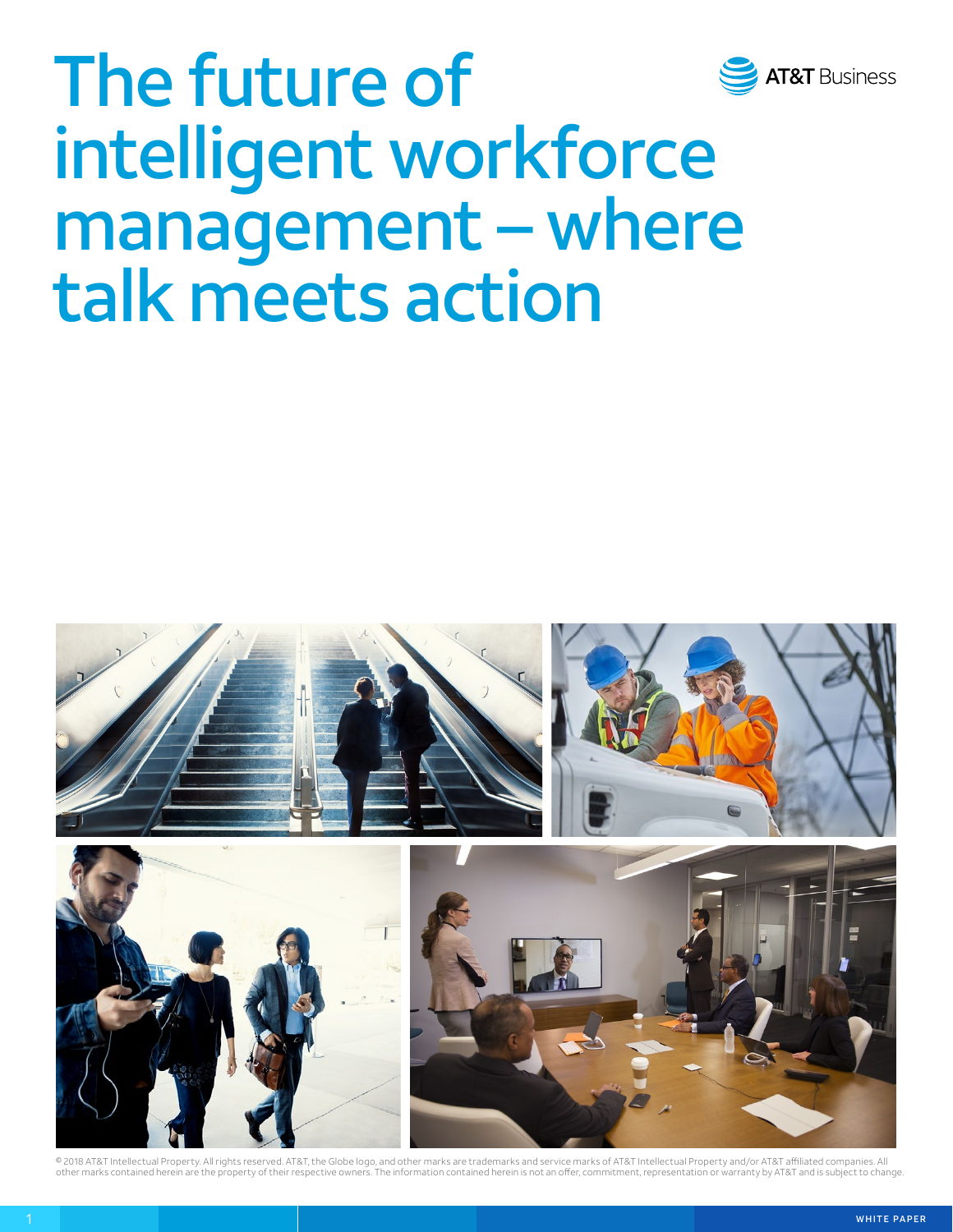

# The future of intelligent workforce management – where talk meets action



© 2018 AT&T Intellectual Property. All rights reserved. AT&T, the Globe logo, and other marks are trademarks and service marks of AT&T Intellectual Property and/or AT&T affiliated companies. All other marks contained herein are the property of their respective owners. The information contained herein is not an offer, commitment, representation or warranty by AT&T and is subject to change.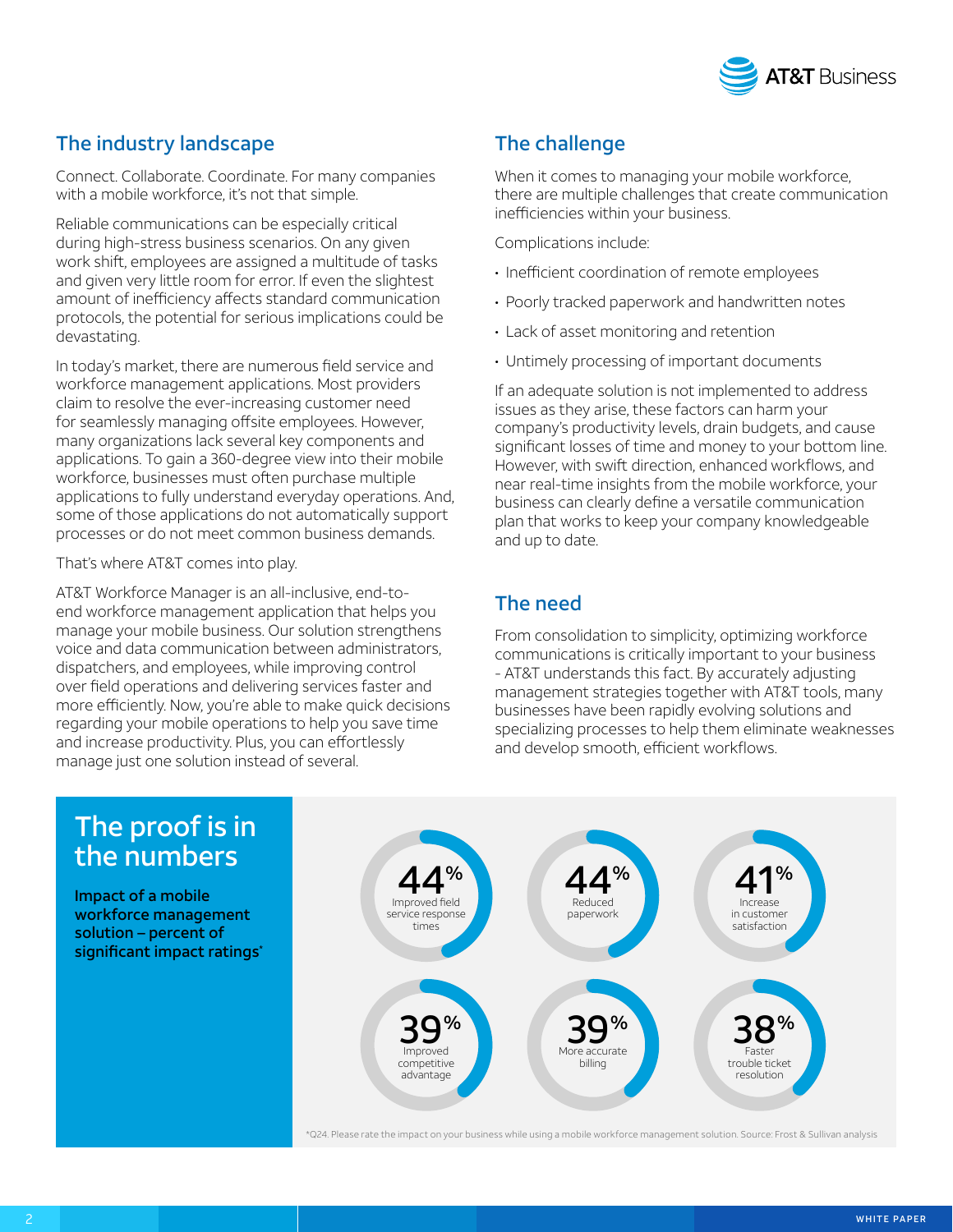

## The industry landscape

Connect. Collaborate. Coordinate. For many companies with a mobile workforce, it's not that simple.

Reliable communications can be especially critical during high-stress business scenarios. On any given work shift, employees are assigned a multitude of tasks and given very little room for error. If even the slightest amount of inefficiency affects standard communication protocols, the potential for serious implications could be devastating.

In today's market, there are numerous field service and workforce management applications. Most providers claim to resolve the ever-increasing customer need for seamlessly managing offsite employees. However, many organizations lack several key components and applications. To gain a 360-degree view into their mobile workforce, businesses must often purchase multiple applications to fully understand everyday operations. And, some of those applications do not automatically support processes or do not meet common business demands.

That's where AT&T comes into play.

AT&T Workforce Manager is an all-inclusive, end-toend workforce management application that helps you manage your mobile business. Our solution strengthens voice and data communication between administrators, dispatchers, and employees, while improving control over field operations and delivering services faster and more efficiently. Now, you're able to make quick decisions regarding your mobile operations to help you save time and increase productivity. Plus, you can effortlessly manage just one solution instead of several.

# The challenge

When it comes to managing your mobile workforce, there are multiple challenges that create communication inefficiencies within your business.

Complications include:

- Inefficient coordination of remote employees
- Poorly tracked paperwork and handwritten notes
- Lack of asset monitoring and retention
- Untimely processing of important documents

If an adequate solution is not implemented to address issues as they arise, these factors can harm your company's productivity levels, drain budgets, and cause significant losses of time and money to your bottom line. However, with swift direction, enhanced workflows, and near real-time insights from the mobile workforce, your business can clearly define a versatile communication plan that works to keep your company knowledgeable and up to date.

## The need

From consolidation to simplicity, optimizing workforce communications is critically important to your business - AT&T understands this fact. By accurately adjusting management strategies together with AT&T tools, many businesses have been rapidly evolving solutions and specializing processes to help them eliminate weaknesses and develop smooth, efficient workflows.



\*Q24. Please rate the impact on your business while using a mobile workforce management solution. Source: Frost & Sullivan analysis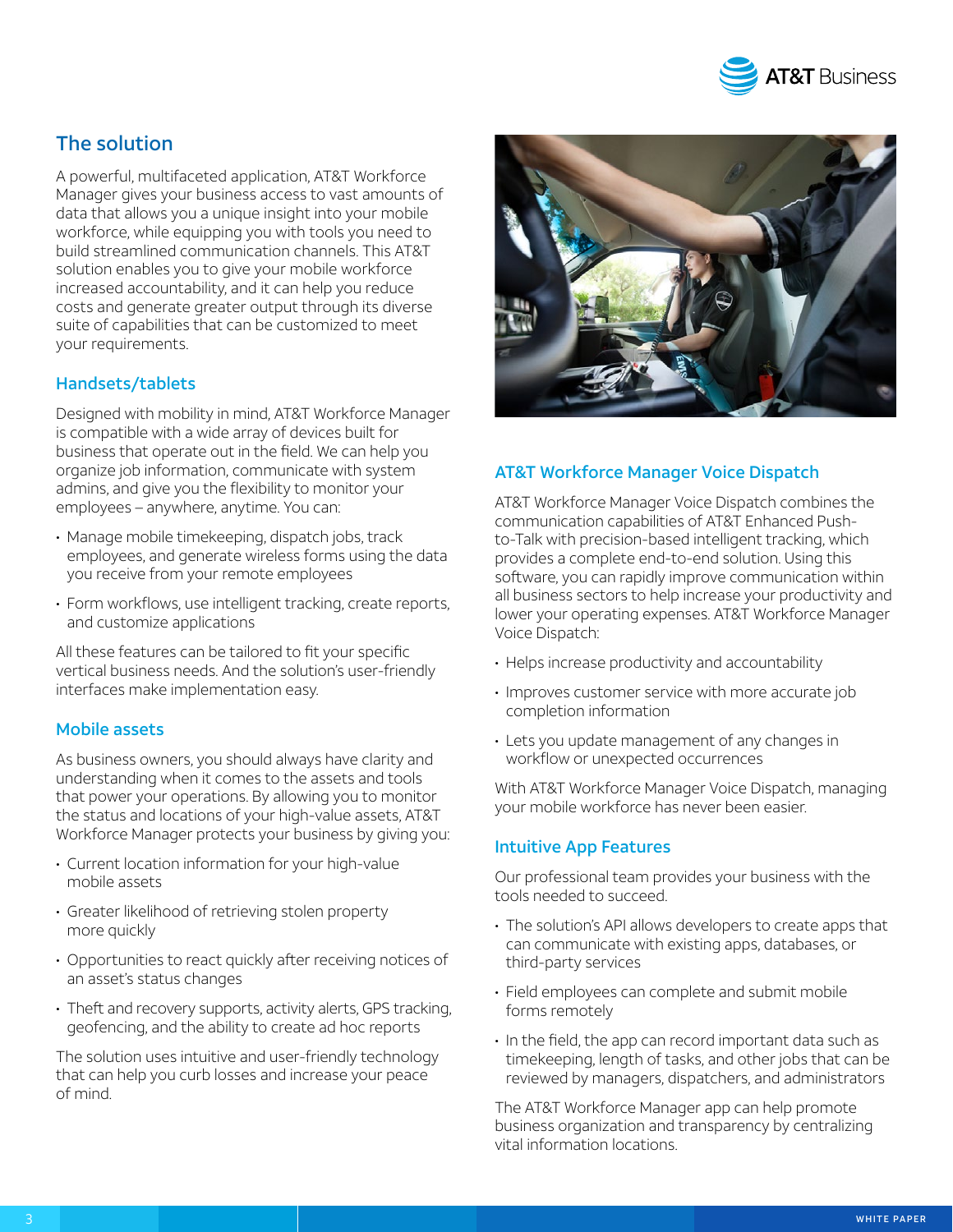

## The solution

A powerful, multifaceted application, AT&T Workforce Manager gives your business access to vast amounts of data that allows you a unique insight into your mobile workforce, while equipping you with tools you need to build streamlined communication channels. This AT&T solution enables you to give your mobile workforce increased accountability, and it can help you reduce costs and generate greater output through its diverse suite of capabilities that can be customized to meet your requirements.

#### Handsets/tablets

Designed with mobility in mind, AT&T Workforce Manager is compatible with a wide array of devices built for business that operate out in the field. We can help you organize job information, communicate with system admins, and give you the flexibility to monitor your employees – anywhere, anytime. You can:

- Manage mobile timekeeping, dispatch jobs, track employees, and generate wireless forms using the data you receive from your remote employees
- Form workflows, use intelligent tracking, create reports, and customize applications

All these features can be tailored to fit your specific vertical business needs. And the solution's user-friendly interfaces make implementation easy.

#### Mobile assets

As business owners, you should always have clarity and understanding when it comes to the assets and tools that power your operations. By allowing you to monitor the status and locations of your high-value assets, AT&T Workforce Manager protects your business by giving you:

- Current location information for your high-value mobile assets
- Greater likelihood of retrieving stolen property more quickly
- Opportunities to react quickly after receiving notices of an asset's status changes
- Theft and recovery supports, activity alerts, GPS tracking, geofencing, and the ability to create ad hoc reports

The solution uses intuitive and user-friendly technology that can help you curb losses and increase your peace of mind.



#### AT&T Workforce Manager Voice Dispatch

AT&T Workforce Manager Voice Dispatch combines the communication capabilities of AT&T Enhanced Pushto-Talk with precision-based intelligent tracking, which provides a complete end-to-end solution. Using this software, you can rapidly improve communication within all business sectors to help increase your productivity and lower your operating expenses. AT&T Workforce Manager Voice Dispatch:

- Helps increase productivity and accountability
- Improves customer service with more accurate job completion information
- Lets you update management of any changes in workflow or unexpected occurrences

With AT&T Workforce Manager Voice Dispatch, managing your mobile workforce has never been easier.

#### Intuitive App Features

Our professional team provides your business with the tools needed to succeed.

- The solution's API allows developers to create apps that can communicate with existing apps, databases, or third-party services
- Field employees can complete and submit mobile forms remotely
- In the field, the app can record important data such as timekeeping, length of tasks, and other jobs that can be reviewed by managers, dispatchers, and administrators

The AT&T Workforce Manager app can help promote business organization and transparency by centralizing vital information locations.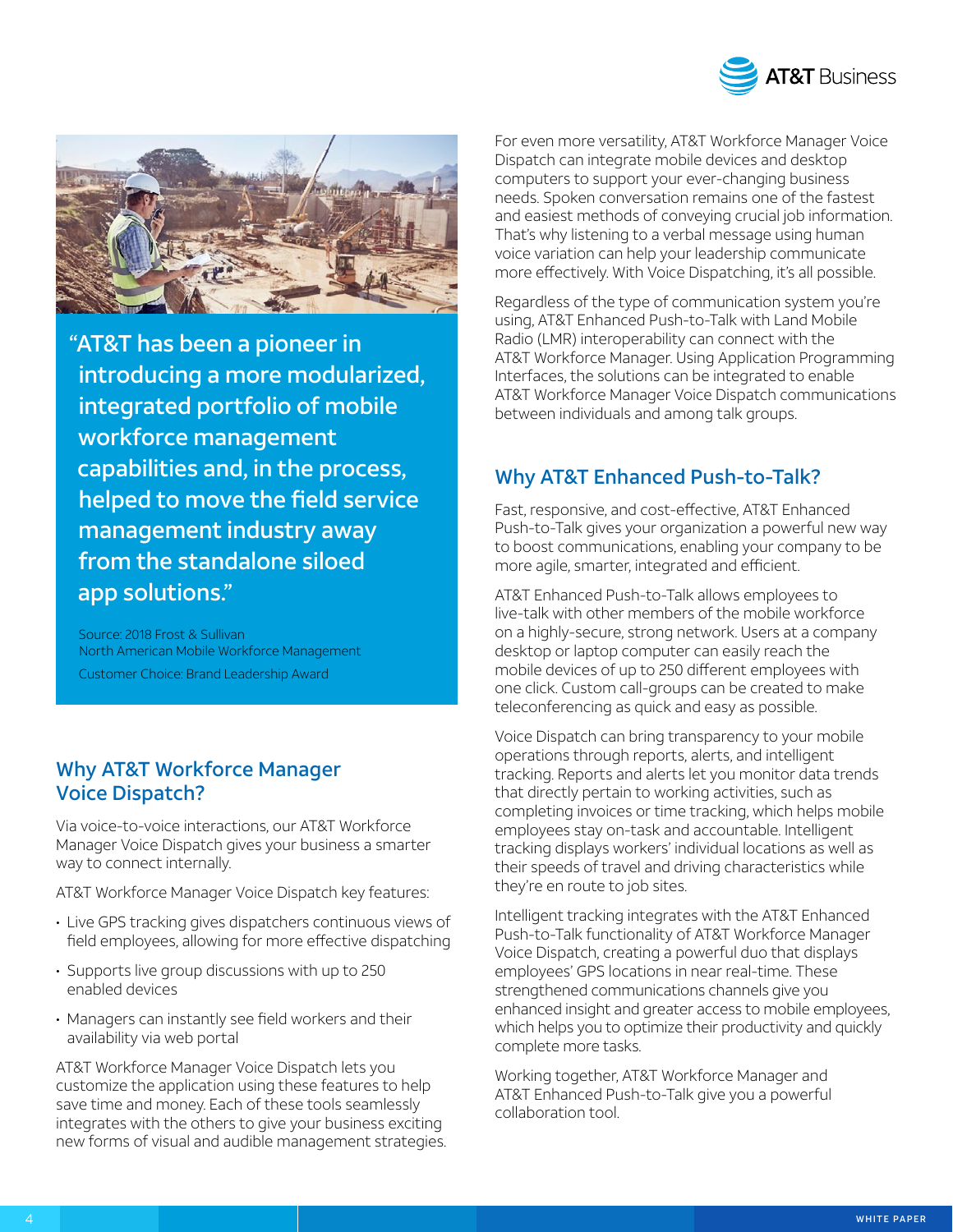



"AT&T has been a pioneer in introducing a more modularized, integrated portfolio of mobile workforce management capabilities and, in the process, helped to move the field service management industry away from the standalone siloed app solutions."

Source: 2018 Frost & Sullivan North American Mobile Workforce Management Customer Choice: Brand Leadership Award

## Why AT&T Workforce Manager Voice Dispatch?

Via voice-to-voice interactions, our AT&T Workforce Manager Voice Dispatch gives your business a smarter way to connect internally.

AT&T Workforce Manager Voice Dispatch key features:

- Live GPS tracking gives dispatchers continuous views of field employees, allowing for more effective dispatching
- Supports live group discussions with up to 250 enabled devices
- Managers can instantly see field workers and their availability via web portal

AT&T Workforce Manager Voice Dispatch lets you customize the application using these features to help save time and money. Each of these tools seamlessly integrates with the others to give your business exciting new forms of visual and audible management strategies.

For even more versatility, AT&T Workforce Manager Voice Dispatch can integrate mobile devices and desktop computers to support your ever-changing business needs. Spoken conversation remains one of the fastest and easiest methods of conveying crucial job information. That's why listening to a verbal message using human voice variation can help your leadership communicate more effectively. With Voice Dispatching, it's all possible.

Regardless of the type of communication system you're using, AT&T Enhanced Push-to-Talk with Land Mobile Radio (LMR) interoperability can connect with the AT&T Workforce Manager. Using Application Programming Interfaces, the solutions can be integrated to enable AT&T Workforce Manager Voice Dispatch communications between individuals and among talk groups.

## Why AT&T Enhanced Push-to-Talk?

Fast, responsive, and cost-effective, AT&T Enhanced Push-to-Talk gives your organization a powerful new way to boost communications, enabling your company to be more agile, smarter, integrated and efficient.

AT&T Enhanced Push-to-Talk allows employees to live-talk with other members of the mobile workforce on a highly-secure, strong network. Users at a company desktop or laptop computer can easily reach the mobile devices of up to 250 different employees with one click. Custom call-groups can be created to make teleconferencing as quick and easy as possible.

Voice Dispatch can bring transparency to your mobile operations through reports, alerts, and intelligent tracking. Reports and alerts let you monitor data trends that directly pertain to working activities, such as completing invoices or time tracking, which helps mobile employees stay on-task and accountable. Intelligent tracking displays workers' individual locations as well as their speeds of travel and driving characteristics while they're en route to job sites.

Intelligent tracking integrates with the AT&T Enhanced Push-to-Talk functionality of AT&T Workforce Manager Voice Dispatch, creating a powerful duo that displays employees' GPS locations in near real-time. These strengthened communications channels give you enhanced insight and greater access to mobile employees, which helps you to optimize their productivity and quickly complete more tasks.

Working together, AT&T Workforce Manager and AT&T Enhanced Push-to-Talk give you a powerful collaboration tool.